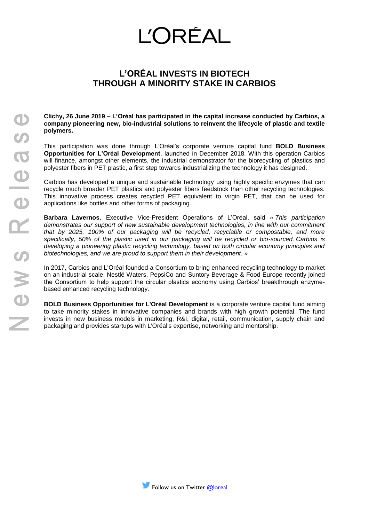## **L'ORÉAL**

## **L'ORÉAL INVESTS IN BIOTECH THROUGH A MINORITY STAKE IN CARBIOS**

**Clichy, 26 June 2019 – L'Oréal has participated in the capital increase conducted by Carbios, a company pioneering new, bio-industrial solutions to reinvent the lifecycle of plastic and textile polymers.**

This participation was done through L'Oréal's corporate venture capital fund **BOLD Business Opportunities for L'Oréal Development**, launched in December 2018. With this operation Carbios will finance, amongst other elements, the industrial demonstrator for the biorecycling of plastics and polyester fibers in PET plastic, a first step towards industrializing the technology it has designed.

Carbios has developed a unique and sustainable technology using highly specific enzymes that can recycle much broader PET plastics and polyester fibers feedstock than other recycling technologies. This innovative process creates recycled PET equivalent to virgin PET, that can be used for applications like bottles and other forms of packaging.

**Barbara Lavernos**, Executive Vice-President Operations of L'Oréal, said *« This participation demonstrates our support of new sustainable development technologies, in line with our commitment that by 2025, 100% of our packaging will be recycled, recyclable or compostable, and more specifically, 50% of the plastic used in our packaging will be recycled or bio-sourced. Carbios is developing a pioneering plastic recycling technology, based on both circular economy principles and biotechnologies, and we are proud to support them in their development. »*

In 2017, Carbios and L'Oréal founded a Consortium to bring enhanced recycling technology to market on an industrial scale. Nestlé Waters, PepsiCo and Suntory Beverage & Food Europe recently joined the Consortium to help support the circular plastics economy using Carbios' breakthrough enzymebased enhanced recycling technology.

**BOLD Business Opportunities for L'Oréal Development** is a corporate venture capital fund aiming to take minority stakes in innovative companies and brands with high growth potential. The fund invests in new business models in marketing, R&I, digital, retail, communication, supply chain and packaging and provides startups with L'Oréal's expertise, networking and mentorship.